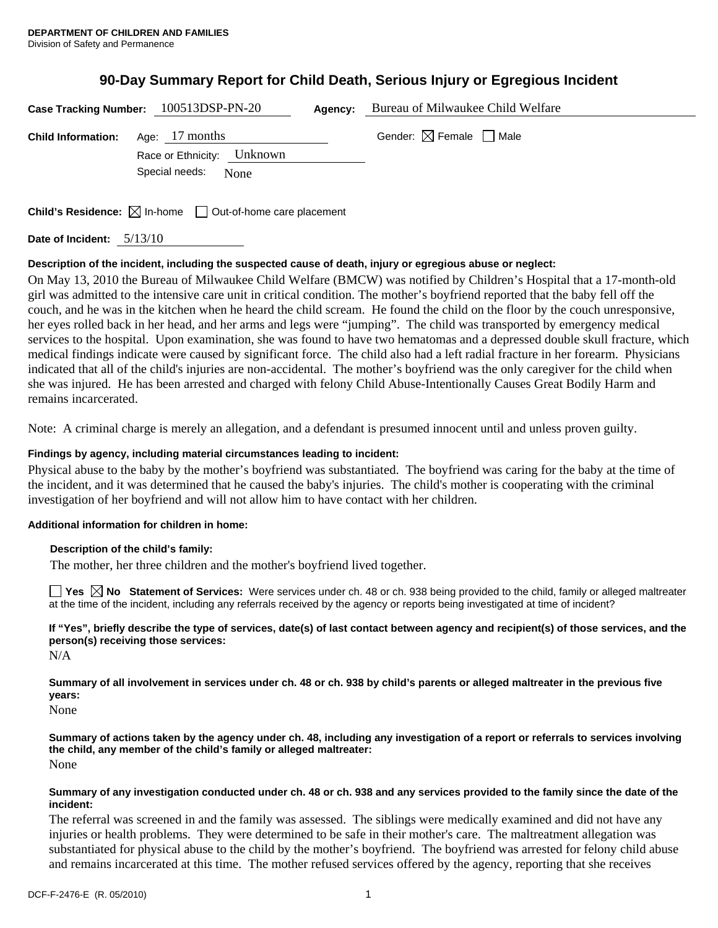## **90-Day Summary Report for Child Death, Serious Injury or Egregious Incident**

|                           | Case Tracking Number: $100513$ DSP-PN-20                                        | Agency: | Bureau of Milwaukee Child Welfare      |
|---------------------------|---------------------------------------------------------------------------------|---------|----------------------------------------|
| <b>Child Information:</b> | Age: 17 months<br>Unknown<br>Race or Ethnicity:<br>Special needs:<br>None       |         | Gender: $\boxtimes$ Female $\Box$ Male |
|                           | <b>Child's Residence:</b> $\boxtimes$ In-home $\Box$ Out-of-home care placement |         |                                        |

**Date of Incident:** 5/13/10

### **Description of the incident, including the suspected cause of death, injury or egregious abuse or neglect:**

On May 13, 2010 the Bureau of Milwaukee Child Welfare (BMCW) was notified by Children's Hospital that a 17-month-old girl was admitted to the intensive care unit in critical condition. The mother's boyfriend reported that the baby fell off the couch, and he was in the kitchen when he heard the child scream. He found the child on the floor by the couch unresponsive, her eyes rolled back in her head, and her arms and legs were "jumping". The child was transported by emergency medical services to the hospital. Upon examination, she was found to have two hematomas and a depressed double skull fracture, which medical findings indicate were caused by significant force. The child also had a left radial fracture in her forearm. Physicians indicated that all of the child's injuries are non-accidental. The mother's boyfriend was the only caregiver for the child when she was injured. He has been arrested and charged with felony Child Abuse-Intentionally Causes Great Bodily Harm and remains incarcerated.

Note: A criminal charge is merely an allegation, and a defendant is presumed innocent until and unless proven guilty.

### **Findings by agency, including material circumstances leading to incident:**

Physical abuse to the baby by the mother's boyfriend was substantiated. The boyfriend was caring for the baby at the time of the incident, and it was determined that he caused the baby's injuries. The child's mother is cooperating with the criminal investigation of her boyfriend and will not allow him to have contact with her children.

### **Additional information for children in home:**

### **Description of the child's family:**

The mother, her three children and the mother's boyfriend lived together.

**Yes No Statement of Services:** Were services under ch. 48 or ch. 938 being provided to the child, family or alleged maltreater at the time of the incident, including any referrals received by the agency or reports being investigated at time of incident?

**If "Yes", briefly describe the type of services, date(s) of last contact between agency and recipient(s) of those services, and the person(s) receiving those services:** 

N/A

**Summary of all involvement in services under ch. 48 or ch. 938 by child's parents or alleged maltreater in the previous five years:** 

None

**Summary of actions taken by the agency under ch. 48, including any investigation of a report or referrals to services involving the child, any member of the child's family or alleged maltreater:**  None

#### **Summary of any investigation conducted under ch. 48 or ch. 938 and any services provided to the family since the date of the incident:**

The referral was screened in and the family was assessed. The siblings were medically examined and did not have any injuries or health problems. They were determined to be safe in their mother's care. The maltreatment allegation was substantiated for physical abuse to the child by the mother's boyfriend. The boyfriend was arrested for felony child abuse and remains incarcerated at this time. The mother refused services offered by the agency, reporting that she receives